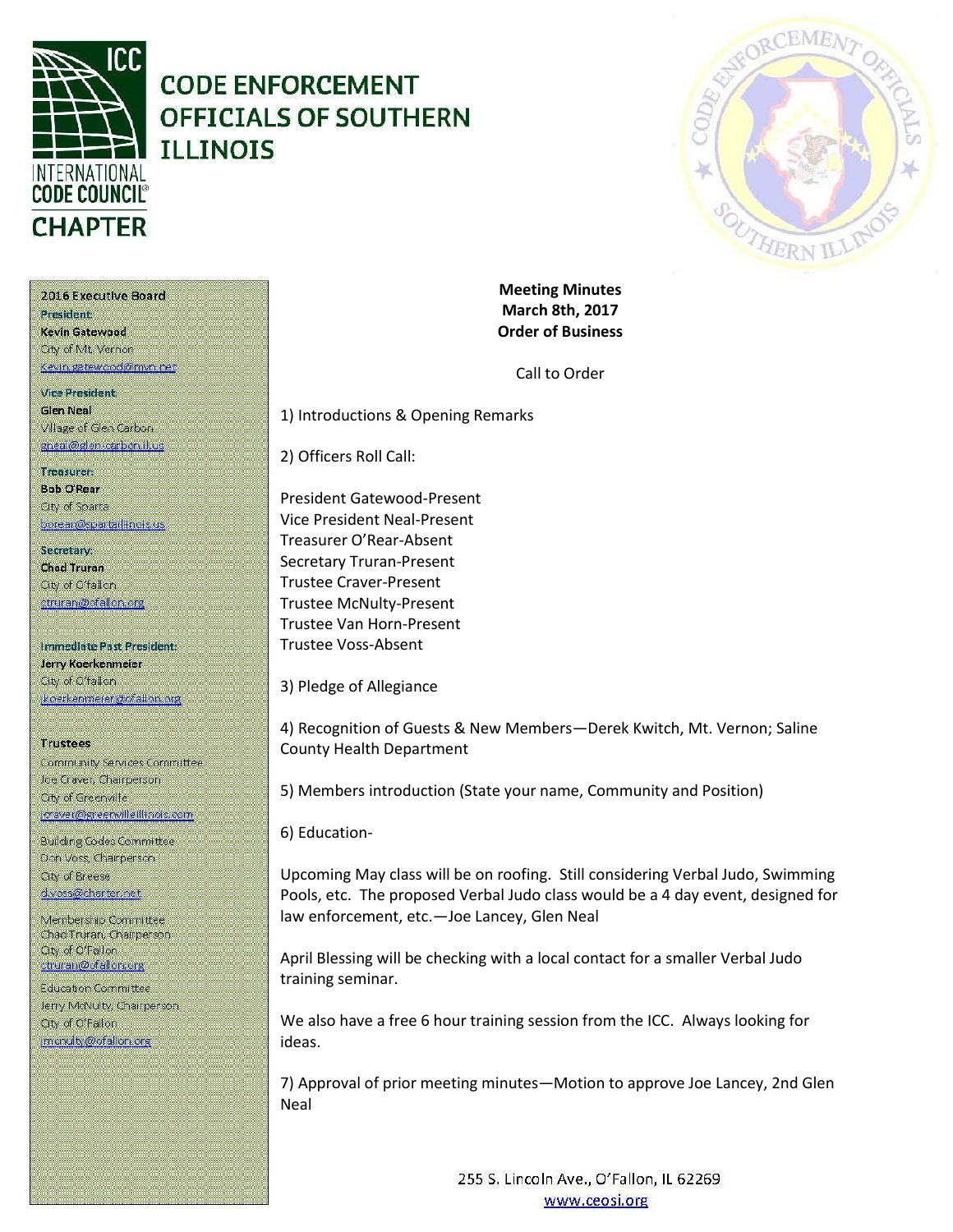

## **CODE ENFORCEMENT OFFICIALS OF SOUTHERN ILLINOIS**



2016 Executive Board President

Kevin Gatewood City of Mt. Vernon Kevin gatewood@mvn.net

**Vice President. Glen Neal** Village of Glen Carbon gneal@glen-carbon.il.us

## Treasurer: **Bob O'Rear** Oty of Sparta

borear@spartaillinois.us

Secretary: **Chad Truran** City of O'fallon. ctruran@ofallon.org

Immediate Past President: Jerry Koerkenmeier City of O'fallon (koerkenmerer@ofallon.org)

## **Trustees**

Community Services Committee Joe Craver, Champerson City of Greenville joraver@greenvilleillinois.com

**Building Codes Committee** Don Voss, Chairperson. City of Breese d.voss@charter.net

Membership Committee Chad Truran, Champerson **Qty of O'Fallon** ctruran@ofallon.org

**Education Committee** Jerry McNulty, Chairperson. City of O'Fallon imenuity@ofallon.org

**Meeting Minutes March 8th, 2017 Order of Business**

Call to Order

1) Introductions & Opening Remarks

2) Officers Roll Call:

President Gatewood-Present Vice President Neal-Present Treasurer O'Rear-Absent Secretary Truran-Present Trustee Craver-Present Trustee McNulty-Present Trustee Van Horn-Present Trustee Voss-Absent

3) Pledge of Allegiance

4) Recognition of Guests & New Members—Derek Kwitch, Mt. Vernon; Saline County Health Department

5) Members introduction (State your name, Community and Position)

6) Education-

Upcoming May class will be on roofing. Still considering Verbal Judo, Swimming Pools, etc. The proposed Verbal Judo class would be a 4 day event, designed for law enforcement, etc.—Joe Lancey, Glen Neal

April Blessing will be checking with a local contact for a smaller Verbal Judo training seminar.

We also have a free 6 hour training session from the ICC. Always looking for ideas.

7) Approval of prior meeting minutes—Motion to approve Joe Lancey, 2nd Glen Neal